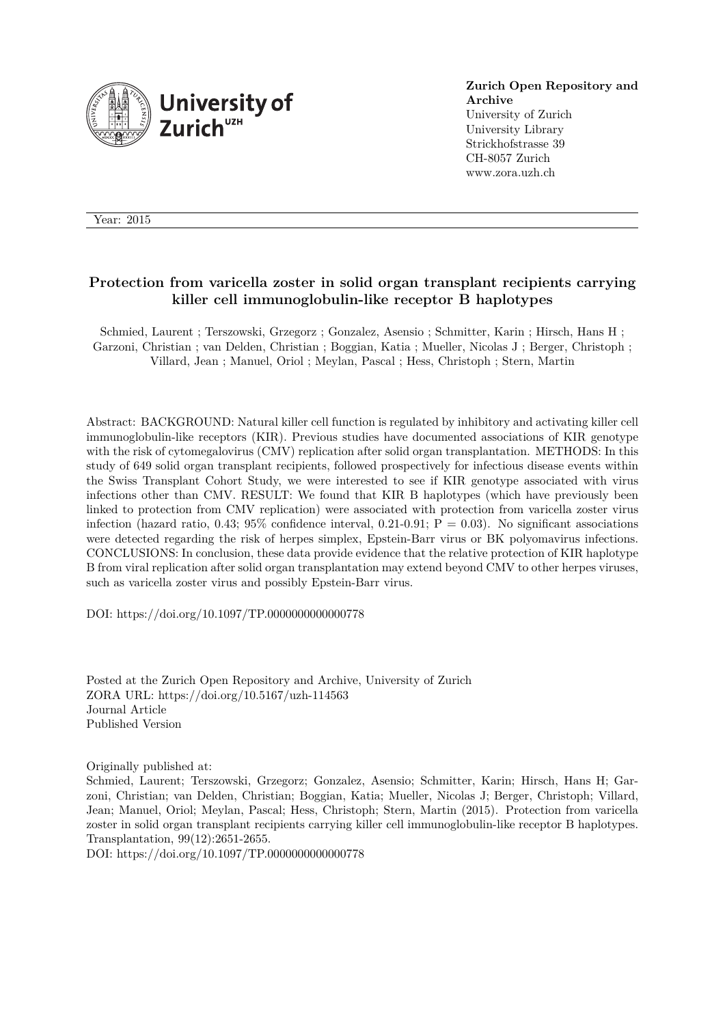

**Zurich Open Repository and Archive** University of Zurich University Library Strickhofstrasse 39 CH-8057 Zurich www.zora.uzh.ch

Year: 2015

## **Protection from varicella zoster in solid organ transplant recipients carrying killer cell immunoglobulin-like receptor B haplotypes**

Schmied, Laurent ; Terszowski, Grzegorz ; Gonzalez, Asensio ; Schmitter, Karin ; Hirsch, Hans H ; Garzoni, Christian ; van Delden, Christian ; Boggian, Katia ; Mueller, Nicolas J ; Berger, Christoph ; Villard, Jean ; Manuel, Oriol ; Meylan, Pascal ; Hess, Christoph ; Stern, Martin

Abstract: BACKGROUND: Natural killer cell function is regulated by inhibitory and activating killer cell immunoglobulin-like receptors (KIR). Previous studies have documented associations of KIR genotype with the risk of cytomegalovirus (CMV) replication after solid organ transplantation. METHODS: In this study of 649 solid organ transplant recipients, followed prospectively for infectious disease events within the Swiss Transplant Cohort Study, we were interested to see if KIR genotype associated with virus infections other than CMV. RESULT: We found that KIR B haplotypes (which have previously been linked to protection from CMV replication) were associated with protection from varicella zoster virus infection (hazard ratio, 0.43; 95% confidence interval, 0.21-0.91;  $P = 0.03$ ). No significant associations were detected regarding the risk of herpes simplex, Epstein-Barr virus or BK polyomavirus infections. CONCLUSIONS: In conclusion, these data provide evidence that the relative protection of KIR haplotype B from viral replication after solid organ transplantation may extend beyond CMV to other herpes viruses, such as varicella zoster virus and possibly Epstein-Barr virus.

DOI: https://doi.org/10.1097/TP.0000000000000778

Posted at the Zurich Open Repository and Archive, University of Zurich ZORA URL: https://doi.org/10.5167/uzh-114563 Journal Article Published Version

Originally published at:

Schmied, Laurent; Terszowski, Grzegorz; Gonzalez, Asensio; Schmitter, Karin; Hirsch, Hans H; Garzoni, Christian; van Delden, Christian; Boggian, Katia; Mueller, Nicolas J; Berger, Christoph; Villard, Jean; Manuel, Oriol; Meylan, Pascal; Hess, Christoph; Stern, Martin (2015). Protection from varicella zoster in solid organ transplant recipients carrying killer cell immunoglobulin-like receptor B haplotypes. Transplantation, 99(12):2651-2655.

DOI: https://doi.org/10.1097/TP.0000000000000778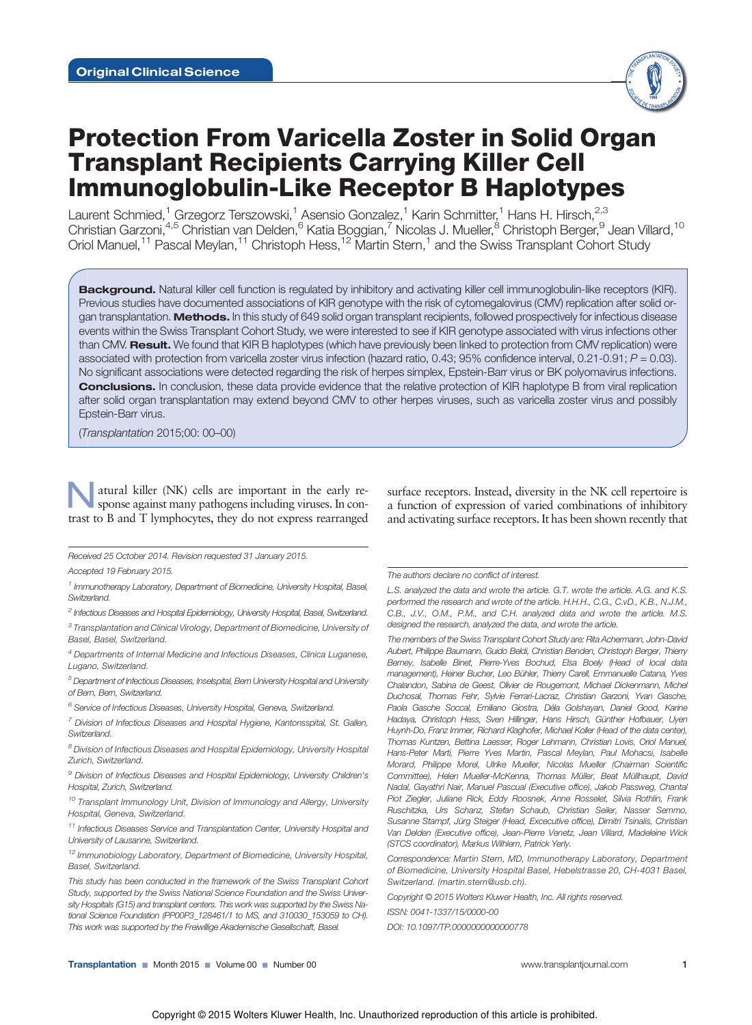# Protection From Varicella Zoster in Solid Organ Transplant Recipients Carrying Killer Cell Immunoglobulin-Like Receptor B Haplotypes

Laurent Schmied,<sup>1</sup> Grzegorz Terszowski,<sup>1</sup> Asensio Gonzalez,<sup>1</sup> Karin Schmitter,<sup>1</sup> Hans H. Hirsch,<sup>2,3</sup> Christian Garzoni,<sup>4,5</sup> Christian van Delden,<sup>6</sup> Katia Boggian,<sup>7</sup> Nicolas J. Mueller,<sup>8</sup> Christoph Berger,<sup>9</sup> Jean Villard,<sup>10</sup> Oriol Manuel,<sup>11</sup> Pascal Meylan,<sup>11</sup> Christoph Hess,<sup>12</sup> Martin Stern,<sup>1</sup> and the Swiss Transplant Cohort Study

Background. Natural killer cell function is regulated by inhibitory and activating killer cell immunoglobulin-like receptors (KIR). Previous studies have documented associations of KIR genotype with the risk of cytomegalovirus (CMV) replication after solid organ transplantation. Methods. In this study of 649 solid organ transplant recipients, followed prospectively for infectious disease events within the Swiss Transplant Cohort Study, we were interested to see if KIR genotype associated with virus infections other than CMV. Result. We found that KIR B haplotypes (which have previously been linked to protection from CMV replication) were associated with protection from varicella zoster virus infection (hazard ratio, 0.43; 95% confidence interval, 0.21-0.91;  $P = 0.03$ ). No significant associations were detected regarding the risk of herpes simplex, Epstein-Barr virus or BK polyomavirus infections. Conclusions. In conclusion, these data provide evidence that the relative protection of KIR haplotype B from viral replication after solid organ transplantation may extend beyond CMV to other herpes viruses, such as varicella zoster virus and possibly Epstein-Barr virus.

(Transplantation 2015;00: 00–00)

atural killer (NK) cells are important in the early response against many pathogens including viruses. In contrast to B and T lymphocytes, they do not express rearranged

surface receptors. Instead, diversity in the NK cell repertoire is a function of expression of varied combinations of inhibitory and activating surface receptors. It has been shown recently that

Accepted 19 February 2015.

### The authors declare no conflict of interest.

L.S. analyzed the data and wrote the article. G.T. wrote the article. A.G. and K.S. performed the research and wrote of the article. H.H.H., C.G., C.vD., K.B., N.J.M., C.B., J.V., O.M., P.M., and C.H. analyzed data and wrote the article. M.S. designed the research, analyzed the data, and wrote the article.

The members of the Swiss Transplant Cohort Study are: Rita Achermann, John-David Aubert, Philippe Baumann, Guido Beldi, Christian Benden, Christoph Berger, Thierry Berney, Isabelle Binet, Pierre-Yves Bochud, Elsa Boely (Head of local data management), Heiner Bucher, Leo Bühler, Thierry Carell, Emmanuelle Catana, Yves Chalandon, Sabina de Geest, Olivier de Rougemont, Michael Dickenmann, Michel Duchosal, Thomas Fehr, Sylvie Ferrari-Lacraz, Christian Garzoni, Yvan Gasche, Paola Gasche Soccal, Emiliano Giostra, Déla Golshayan, Daniel Good, Karine Hadaya, Christoph Hess, Sven Hillinger, Hans Hirsch, Günther Hofbauer, Uyen Huynh-Do, Franz Immer, Richard Klaghofer, Michael Koller (Head of the data center), Thomas Kuntzen, Bettina Laesser, Roger Lehmann, Christian Lovis, Oriol Manuel, Hans-Peter Marti, Pierre Yves Martin, Pascal Meylan, Paul Mohacsi, Isabelle Morard, Philippe Morel, Ulrike Mueller, Nicolas Mueller (Chairman Scientific Committee), Helen Mueller-McKenna, Thomas Müller, Beat Müllhaupt, David Nadal, Gayathri Nair, Manuel Pascual (Executive office), Jakob Passweg, Chantal Piot Ziegler, Juliane Rick, Eddy Roosnek, Anne Rosselet, Silvia Rothlin, Frank Ruschitzka, Urs Schanz, Stefan Schaub, Christian Seiler, Nasser Semmo, Susanne Stampf, Jürg Steiger (Head, Excecutive office), Dimitri Tsinalis, Christian Van Delden (Executive office), Jean-Pierre Venetz, Jean Villard, Madeleine Wick (STCS coordinator), Markus Wilhlem, Patrick Yerly.

Correspondence: Martin Stern, MD, Immunotherapy Laboratory, Department of Biomedicine, University Hospital Basel, Hebelstrasse 20, CH-4031 Basel, Switzerland. (martin.stern@usb.ch).

Copyright © 2015 Wolters Kluwer Health, Inc. All rights reserved.

ISSN: 0041-1337/15/0000-00

DOI: 10.1097/TP.0000000000000778

Received 25 October 2014. Revision requested 31 January 2015.

<sup>&</sup>lt;sup>1</sup> Immunotherapy Laboratory, Department of Biomedicine, University Hospital, Basel, Switzerland.

<sup>&</sup>lt;sup>2</sup> Infectious Diseases and Hospital Epidemiology, University Hospital, Basel, Switzerland.

 $^3$  Transplantation and Clinical Virology, Department of Biomedicine, University of Basel, Basel, Switzerland.

<sup>&</sup>lt;sup>4</sup> Departments of Internal Medicine and Infectious Diseases, Clinica Luganese, Lugano, Switzerland.

 $^5$  Department of Infectious Diseases, Inselspital, Bern University Hospital and University of Bern, Bern, Switzerland.

<sup>&</sup>lt;sup>6</sup> Service of Infectious Diseases, University Hospital, Geneva, Switzerland.

 $7$  Division of Infectious Diseases and Hospital Hygiene, Kantonsspital, St. Gallen, Switzerland.

 $8$  Division of Infectious Diseases and Hospital Epidemiology, University Hospital Zurich, Switzerland.

<sup>&</sup>lt;sup>9</sup> Division of Infectious Diseases and Hospital Epidemiology, University Children's Hospital, Zurich, Switzerland.

 $10$  Transplant Immunology Unit, Division of Immunology and Allergy, University Hospital, Geneva, Switzerland.

 $11$  Infectious Diseases Service and Transplantation Center, University Hospital and University of Lausanne, Switzerland.

<sup>&</sup>lt;sup>12</sup> Immunobiology Laboratory, Department of Biomedicine, University Hospital, Basel, Switzerland.

This study has been conducted in the framework of the Swiss Transplant Cohort Study, supported by the Swiss National Science Foundation and the Swiss University Hospitals (G15) and transplant centers. This work was supported by the Swiss National Science Foundation (PP00P3\_128461/1 to MS, and 310030\_153059 to CH). This work was supported by the Freiwillige Akademische Gesellschaft, Basel.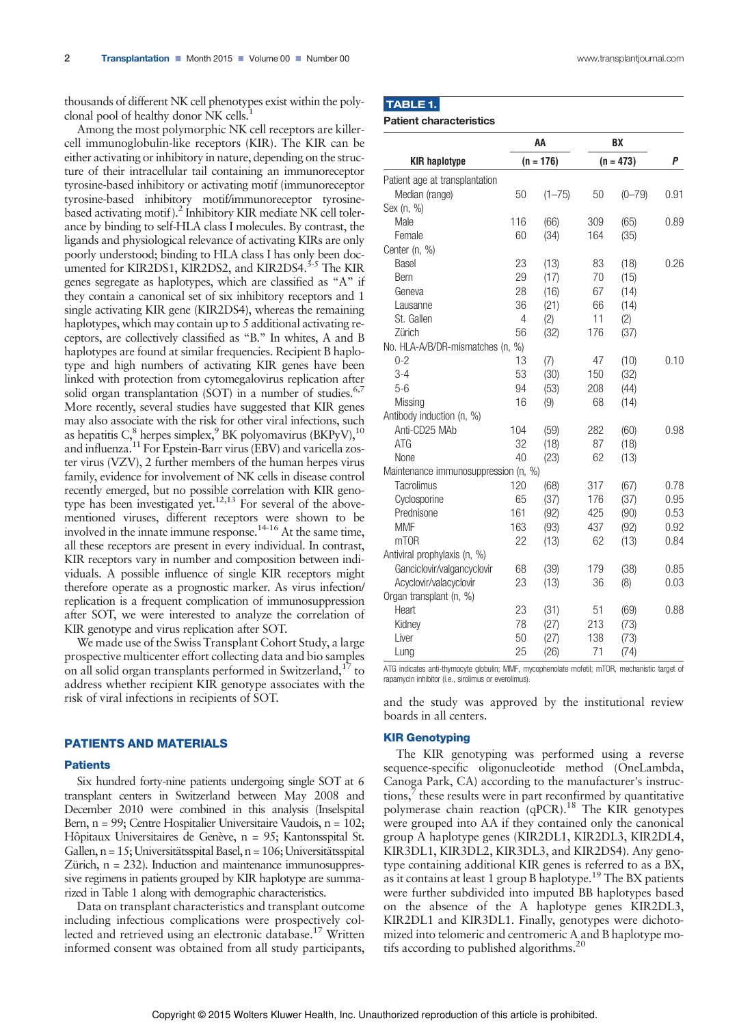thousands of different NK cell phenotypes exist within the polyclonal pool of healthy donor NK cells.<sup>1</sup>

Among the most polymorphic NK cell receptors are killercell immunoglobulin-like receptors (KIR). The KIR can be either activating or inhibitory in nature, depending on the structure of their intracellular tail containing an immunoreceptor tyrosine-based inhibitory or activating motif (immunoreceptor tyrosine-based inhibitory motif/immunoreceptor tyrosinebased activating motif ).<sup>2</sup> Inhibitory KIR mediate NK cell tolerance by binding to self-HLA class I molecules. By contrast, the ligands and physiological relevance of activating KIRs are only poorly understood; binding to HLA class I has only been documented for KIR2DS1, KIR2DS2, and KIR2DS4.<sup>3-5</sup> The KIR genes segregate as haplotypes, which are classified as "A" if they contain a canonical set of six inhibitory receptors and 1 single activating KIR gene (KIR2DS4), whereas the remaining haplotypes, which may contain up to 5 additional activating receptors, are collectively classified as "B." In whites, A and B haplotypes are found at similar frequencies. Recipient B haplotype and high numbers of activating KIR genes have been linked with protection from cytomegalovirus replication after solid organ transplantation (SOT) in a number of studies.<sup>6,7</sup> More recently, several studies have suggested that KIR genes may also associate with the risk for other viral infections, such as hepatitis C, $^8$  herpes simplex, $^9$  BK polyomavirus (BKPyV), $^{10}$ and influenza.<sup>11</sup> For Epstein-Barr virus (EBV) and varicella zoster virus (VZV), 2 further members of the human herpes virus family, evidence for involvement of NK cells in disease control recently emerged, but no possible correlation with KIR genotype has been investigated yet.<sup>12,13</sup> For several of the abovementioned viruses, different receptors were shown to be involved in the innate immune response.<sup>14-16</sup> At the same time, all these receptors are present in every individual. In contrast, KIR receptors vary in number and composition between individuals. A possible influence of single KIR receptors might therefore operate as a prognostic marker. As virus infection/ replication is a frequent complication of immunosuppression after SOT, we were interested to analyze the correlation of KIR genotype and virus replication after SOT.

We made use of the Swiss Transplant Cohort Study, a large prospective multicenter effort collecting data and bio samples on all solid organ transplants performed in Switzerland, $17$  to address whether recipient KIR genotype associates with the risk of viral infections in recipients of SOT.

## PATIENTS AND MATERIALS

## **Patients**

Six hundred forty-nine patients undergoing single SOT at 6 transplant centers in Switzerland between May 2008 and December 2010 were combined in this analysis (Inselspital Bern, n = 99; Centre Hospitalier Universitaire Vaudois, n = 102; Hôpitaux Universitaires de Genève, n = 95; Kantonsspital St. Gallen, n = 15; Universitätsspital Basel, n = 106; Universitätsspital Zürich, n = 232). Induction and maintenance immunosuppressive regimens in patients grouped by KIR haplotype are summarized in Table 1 along with demographic characteristics.

Data on transplant characteristics and transplant outcome including infectious complications were prospectively collected and retrieved using an electronic database.<sup>17</sup> Written informed consent was obtained from all study participants,

|--|

Patient characteristics

|                                      | AA<br>$(n = 176)$ |            | BX<br>$(n = 473)$ |            | P    |
|--------------------------------------|-------------------|------------|-------------------|------------|------|
| <b>KIR haplotype</b>                 |                   |            |                   |            |      |
| Patient age at transplantation       |                   |            |                   |            |      |
| Median (range)                       | 50                | $(1 - 75)$ | 50                | $(0 - 79)$ | 0.91 |
| Sex (n, %)                           |                   |            |                   |            |      |
| Male                                 | 116               | (66)       | 309               | (65)       | 0.89 |
| Female                               | 60                | (34)       | 164               | (35)       |      |
| Center (n, %)                        |                   |            |                   |            |      |
| <b>Basel</b>                         | 23                | (13)       | 83                | (18)       | 0.26 |
| Bern                                 | 29                | (17)       | 70                | (15)       |      |
| Geneva                               | 28                | (16)       | 67                | (14)       |      |
| Lausanne                             | 36                | (21)       | 66                | (14)       |      |
| St. Gallen                           | $\overline{4}$    | (2)        | 11                | (2)        |      |
| Zürich                               | 56                | (32)       | 176               | (37)       |      |
| No. HLA-A/B/DR-mismatches (n,        | $\%$ )            |            |                   |            |      |
| $0 - 2$                              | 13                | (7)        | 47                | (10)       | 0.10 |
| $3-4$                                | 53                | (30)       | 150               | (32)       |      |
| $5-6$                                | 94                | (53)       | 208               | (44)       |      |
| Missing                              | 16                | (9)        | 68                | (14)       |      |
| Antibody induction (n, %)            |                   |            |                   |            |      |
| Anti-CD25 MAb                        | 104               | (59)       | 282               | (60)       | 0.98 |
| ATG                                  | 32                | (18)       | 87                | (18)       |      |
| <b>None</b>                          | 40                | (23)       | 62                | (13)       |      |
| Maintenance immunosuppression (n, %) |                   |            |                   |            |      |
| Tacrolimus                           | 120               | (68)       | 317               | (67)       | 0.78 |
| Cyclosporine                         | 65                | (37)       | 176               | (37)       | 0.95 |
| Prednisone                           | 161               | (92)       | 425               | (90)       | 0.53 |
| <b>MMF</b>                           | 163               | (93)       | 437               | (92)       | 0.92 |
| m <sub>T</sub> OR                    | 22                | (13)       | 62                | (13)       | 0.84 |
| Antiviral prophylaxis (n, %)         |                   |            |                   |            |      |
| Ganciclovir/valgancyclovir           | 68                | (39)       | 179               | (38)       | 0.85 |
| Acyclovir/valacyclovir               | 23                | (13)       | 36                | (8)        | 0.03 |
| Organ transplant (n, %)              |                   |            |                   |            |      |
| Heart                                | 23                | (31)       | 51                | (69)       | 0.88 |
| Kidney                               | 78                | (27)       | 213               | (73)       |      |
| Liver                                | 50                | (27)       | 138               | (73)       |      |
| Lung                                 | 25                | (26)       | 71                | (74)       |      |

ATG indicates anti-thymocyte globulin; MMF, mycophenolate mofetil; mTOR, mechanistic target of rapamycin inhibitor (i.e., sirolimus or everolimus).

and the study was approved by the institutional review boards in all centers.

#### KIR Genotyping

The KIR genotyping was performed using a reverse sequence-specific oligonucleotide method (OneLambda, Canoga Park, CA) according to the manufacturer's instructions, $\bar{7}$  these results were in part reconfirmed by quantitative polymerase chain reaction (qPCR).<sup>18</sup> The KIR genotypes were grouped into AA if they contained only the canonical group A haplotype genes (KIR2DL1, KIR2DL3, KIR2DL4, KIR3DL1, KIR3DL2, KIR3DL3, and KIR2DS4). Any genotype containing additional KIR genes is referred to as a BX, as it contains at least 1 group B haplotype.<sup>19</sup> The BX patients were further subdivided into imputed BB haplotypes based on the absence of the A haplotype genes KIR2DL3, KIR2DL1 and KIR3DL1. Finally, genotypes were dichotomized into telomeric and centromeric A and B haplotype motifs according to published algorithms.<sup>20</sup>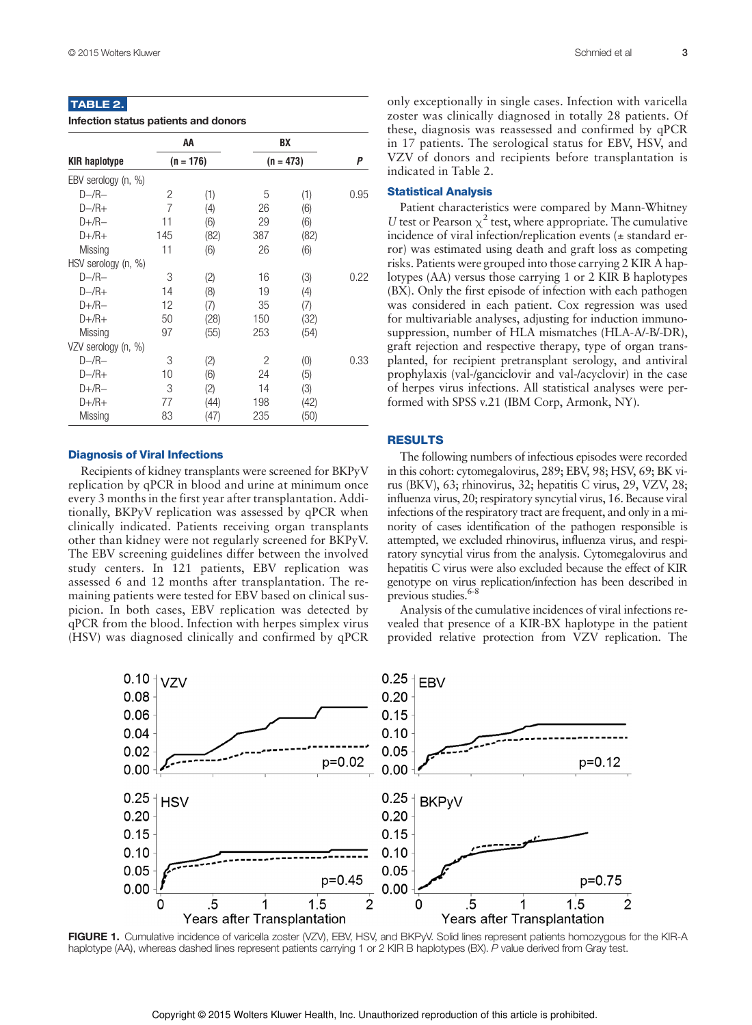## TABLE 2.

| Infection status patients and donors |  |  |  |
|--------------------------------------|--|--|--|
|--------------------------------------|--|--|--|

|                      | АΑ<br>$(n = 176)$ |      | BX          |      | Ρ    |
|----------------------|-------------------|------|-------------|------|------|
| <b>KIR haplotype</b> |                   |      | $(n = 473)$ |      |      |
| EBV serology (n, %)  |                   |      |             |      |      |
| $D - /R -$           | 2                 | (1)  | 5           | (1)  | 0.95 |
| $D - /R +$           | $\overline{7}$    | (4)  | 26          | (6)  |      |
| $D+$ /R $-$          | 11                | (6)  | 29          | (6)  |      |
| $D+/R+$              | 145               | (82) | 387         | (82) |      |
| Missing              | 11                | (6)  | 26          | (6)  |      |
| HSV serology (n, %)  |                   |      |             |      |      |
| $D - /R -$           | 3                 | (2)  | 16          | (3)  | 0.22 |
| $D - /R +$           | 14                | (8)  | 19          | (4)  |      |
| $D+$ /R $-$          | 12                | (7)  | 35          | (7)  |      |
| $D+/R+$              | 50                | (28) | 150         | (32) |      |
| Missing              | 97                | (55) | 253         | (54) |      |
| VZV serology (n, %)  |                   |      |             |      |      |
| $D - /R -$           | 3                 | (2)  | 2           | (0)  | 0.33 |
| $D - /R +$           | 10                | (6)  | 24          | (5)  |      |
| $D + /R -$           | 3                 | (2)  | 14          | (3)  |      |
| $D+/R+$              | 77                | (44) | 198         | (42) |      |
| Missing              | 83                | (47) | 235         | (50) |      |

### Diagnosis of Viral Infections

Recipients of kidney transplants were screened for BKPyV replication by qPCR in blood and urine at minimum once every 3 months in the first year after transplantation. Additionally, BKPyV replication was assessed by qPCR when clinically indicated. Patients receiving organ transplants other than kidney were not regularly screened for BKPyV. The EBV screening guidelines differ between the involved study centers. In 121 patients, EBV replication was assessed 6 and 12 months after transplantation. The remaining patients were tested for EBV based on clinical suspicion. In both cases, EBV replication was detected by qPCR from the blood. Infection with herpes simplex virus (HSV) was diagnosed clinically and confirmed by qPCR

only exceptionally in single cases. Infection with varicella zoster was clinically diagnosed in totally 28 patients. Of these, diagnosis was reassessed and confirmed by qPCR in 17 patients. The serological status for EBV, HSV, and VZV of donors and recipients before transplantation is indicated in Table 2.

## Statistical Analysis

Patient characteristics were compared by Mann-Whitney U test or Pearson  $\chi^2$  test, where appropriate. The cumulative incidence of viral infection/replication events (± standard error) was estimated using death and graft loss as competing risks. Patients were grouped into those carrying 2 KIR A haplotypes (AA) versus those carrying 1 or 2 KIR B haplotypes (BX). Only the first episode of infection with each pathogen was considered in each patient. Cox regression was used for multivariable analyses, adjusting for induction immunosuppression, number of HLA mismatches (HLA-A/-B/-DR), graft rejection and respective therapy, type of organ transplanted, for recipient pretransplant serology, and antiviral prophylaxis (val-/ganciclovir and val-/acyclovir) in the case of herpes virus infections. All statistical analyses were performed with SPSS v.21 (IBM Corp, Armonk, NY).

## RESULTS

The following numbers of infectious episodes were recorded in this cohort: cytomegalovirus, 289; EBV, 98; HSV, 69; BK virus (BKV), 63; rhinovirus, 32; hepatitis C virus, 29, VZV, 28; influenza virus, 20; respiratory syncytial virus, 16. Because viral infections of the respiratory tract are frequent, and only in a minority of cases identification of the pathogen responsible is attempted, we excluded rhinovirus, influenza virus, and respiratory syncytial virus from the analysis. Cytomegalovirus and hepatitis C virus were also excluded because the effect of KIR genotype on virus replication/infection has been described in previous studies.<sup>6-8</sup>

Analysis of the cumulative incidences of viral infections revealed that presence of a KIR-BX haplotype in the patient provided relative protection from VZV replication. The



FIGURE 1. Cumulative incidence of varicella zoster (VZV), EBV, HSV, and BKPvV, Solid lines represent patients homozygous for the KIR-A haplotype (AA), whereas dashed lines represent patients carrying 1 or 2 KIR B haplotypes (BX). P value derived from Gray test.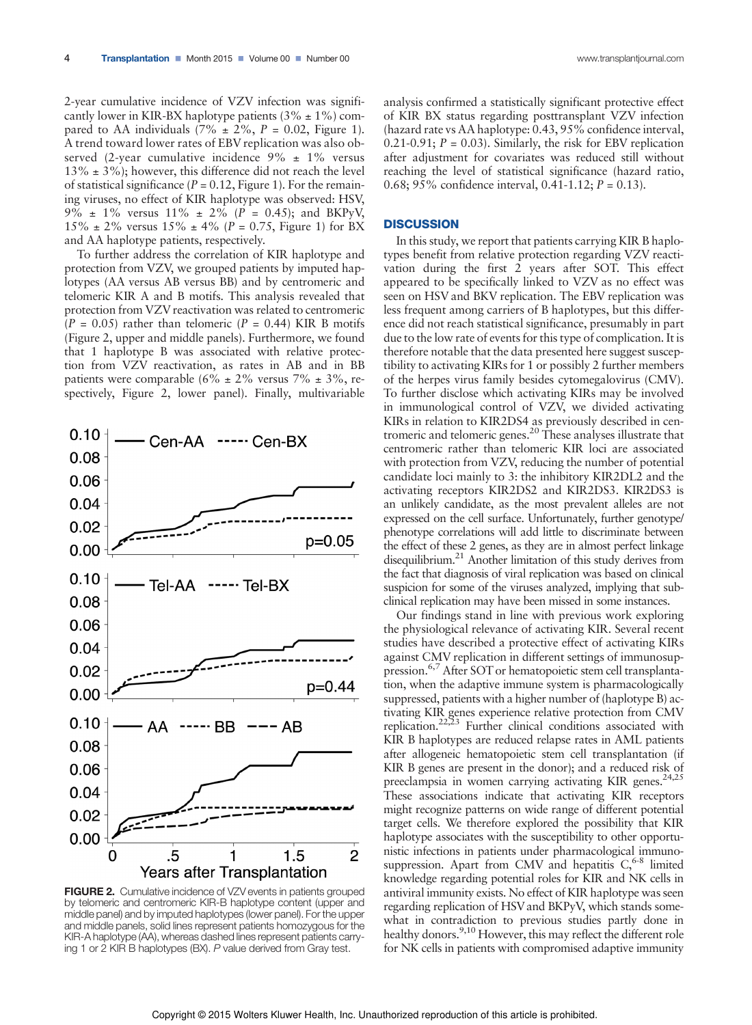2-year cumulative incidence of VZV infection was significantly lower in KIR-BX haplotype patients  $(3\% \pm 1\%)$  compared to AA individuals (7%  $\pm$  2%, P = 0.02, Figure 1). A trend toward lower rates of EBV replication was also observed (2-year cumulative incidence  $9\% \pm 1\%$  versus  $13\% \pm 3\%$ ; however, this difference did not reach the level of statistical significance ( $P = 0.12$ , Figure 1). For the remaining viruses, no effect of KIR haplotype was observed: HSV, 9%  $\pm$  1% versus 11%  $\pm$  2% (P = 0.45); and BKPyV,  $15\% \pm 2\%$  versus  $15\% \pm 4\%$  (P = 0.75, Figure 1) for BX and AA haplotype patients, respectively.

To further address the correlation of KIR haplotype and protection from VZV, we grouped patients by imputed haplotypes (AA versus AB versus BB) and by centromeric and telomeric KIR A and B motifs. This analysis revealed that protection from VZV reactivation was related to centromeric  $(P = 0.05)$  rather than telomeric  $(P = 0.44)$  KIR B motifs (Figure 2, upper and middle panels). Furthermore, we found that 1 haplotype B was associated with relative protection from VZV reactivation, as rates in AB and in BB patients were comparable (6%  $\pm$  2% versus 7%  $\pm$  3%, respectively, Figure 2, lower panel). Finally, multivariable

 $Cen-AA$  ----- $Cen-BX$ 

 $0.10$ 

 $0.08$ 



FIGURE 2. Cumulative incidence of VZV events in patients grouped by telomeric and centromeric KIR-B haplotype content (upper and middle panel) and by imputed haplotypes (lower panel). For the upper and middle panels, solid lines represent patients homozygous for the KIR-A haplotype (AA), whereas dashed lines represent patients carrying 1 or 2 KIR B haplotypes (BX). P value derived from Gray test.

analysis confirmed a statistically significant protective effect of KIR BX status regarding posttransplant VZV infection (hazard rate vs AA haplotype: 0.43, 95% confidence interval, 0.21-0.91;  $P = 0.03$ ). Similarly, the risk for EBV replication after adjustment for covariates was reduced still without reaching the level of statistical significance (hazard ratio, 0.68; 95% confidence interval, 0.41-1.12;  $P = 0.13$ ).

#### **DISCUSSION**

In this study, we report that patients carrying KIR B haplotypes benefit from relative protection regarding VZV reactivation during the first 2 years after SOT. This effect appeared to be specifically linked to VZV as no effect was seen on HSV and BKV replication. The EBV replication was less frequent among carriers of B haplotypes, but this difference did not reach statistical significance, presumably in part due to the low rate of events for this type of complication. It is therefore notable that the data presented here suggest susceptibility to activating KIRs for 1 or possibly 2 further members of the herpes virus family besides cytomegalovirus (CMV). To further disclose which activating KIRs may be involved in immunological control of VZV, we divided activating KIRs in relation to KIR2DS4 as previously described in centromeric and telomeric genes.<sup>20</sup> These analyses illustrate that centromeric rather than telomeric KIR loci are associated with protection from VZV, reducing the number of potential candidate loci mainly to 3: the inhibitory KIR2DL2 and the activating receptors KIR2DS2 and KIR2DS3. KIR2DS3 is an unlikely candidate, as the most prevalent alleles are not expressed on the cell surface. Unfortunately, further genotype/ phenotype correlations will add little to discriminate between the effect of these 2 genes, as they are in almost perfect linkage disequilibrium.<sup>21</sup> Another limitation of this study derives from the fact that diagnosis of viral replication was based on clinical suspicion for some of the viruses analyzed, implying that subclinical replication may have been missed in some instances.

Our findings stand in line with previous work exploring the physiological relevance of activating KIR. Several recent studies have described a protective effect of activating KIRs against CMV replication in different settings of immunosuppression.<sup>6,7</sup> After SOT or hematopoietic stem cell transplantation, when the adaptive immune system is pharmacologically suppressed, patients with a higher number of (haplotype B) activating KIR genes experience relative protection from CMV replication.<sup>22,23</sup> Further clinical conditions associated with KIR B haplotypes are reduced relapse rates in AML patients after allogeneic hematopoietic stem cell transplantation (if KIR B genes are present in the donor); and a reduced risk of preeclampsia in women carrying activating KIR genes.<sup>24,25</sup> These associations indicate that activating KIR receptors might recognize patterns on wide range of different potential target cells. We therefore explored the possibility that KIR haplotype associates with the susceptibility to other opportunistic infections in patients under pharmacological immunosuppression. Apart from CMV and hepatitis  $C<sub>6-8</sub>$  limited knowledge regarding potential roles for KIR and NK cells in antiviral immunity exists. No effect of KIR haplotype was seen regarding replication of HSV and BKPyV, which stands somewhat in contradiction to previous studies partly done in healthy donors.<sup>9,10</sup> However, this may reflect the different role for NK cells in patients with compromised adaptive immunity